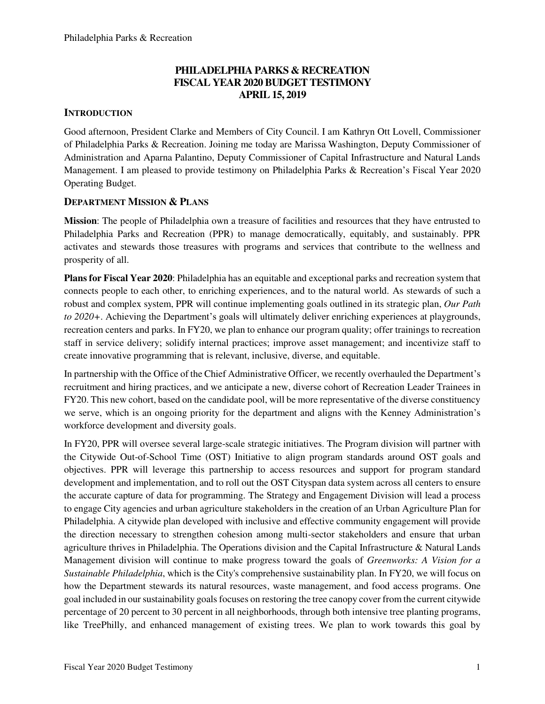# **PHILADELPHIA PARKS & RECREATION FISCAL YEAR 2020 BUDGET TESTIMONY APRIL 15, 2019**

# **INTRODUCTION**

Good afternoon, President Clarke and Members of City Council. I am Kathryn Ott Lovell, Commissioner of Philadelphia Parks & Recreation. Joining me today are Marissa Washington, Deputy Commissioner of Administration and Aparna Palantino, Deputy Commissioner of Capital Infrastructure and Natural Lands Management. I am pleased to provide testimony on Philadelphia Parks & Recreation's Fiscal Year 2020 Operating Budget.

# **DEPARTMENT MISSION & PLANS**

**Mission**: The people of Philadelphia own a treasure of facilities and resources that they have entrusted to Philadelphia Parks and Recreation (PPR) to manage democratically, equitably, and sustainably. PPR activates and stewards those treasures with programs and services that contribute to the wellness and prosperity of all.

**Plans for Fiscal Year 2020**: Philadelphia has an equitable and exceptional parks and recreation system that connects people to each other, to enriching experiences, and to the natural world. As stewards of such a robust and complex system, PPR will continue implementing goals outlined in its strategic plan, *Our Path to 2020+*. Achieving the Department's goals will ultimately deliver enriching experiences at playgrounds, recreation centers and parks. In FY20, we plan to enhance our program quality; offer trainings to recreation staff in service delivery; solidify internal practices; improve asset management; and incentivize staff to create innovative programming that is relevant, inclusive, diverse, and equitable.

In partnership with the Office of the Chief Administrative Officer, we recently overhauled the Department's recruitment and hiring practices, and we anticipate a new, diverse cohort of Recreation Leader Trainees in FY20. This new cohort, based on the candidate pool, will be more representative of the diverse constituency we serve, which is an ongoing priority for the department and aligns with the Kenney Administration's workforce development and diversity goals.

In FY20, PPR will oversee several large-scale strategic initiatives. The Program division will partner with the Citywide Out-of-School Time (OST) Initiative to align program standards around OST goals and objectives. PPR will leverage this partnership to access resources and support for program standard development and implementation, and to roll out the OST Cityspan data system across all centers to ensure the accurate capture of data for programming. The Strategy and Engagement Division will lead a process to engage City agencies and urban agriculture stakeholders in the creation of an Urban Agriculture Plan for Philadelphia. A citywide plan developed with inclusive and effective community engagement will provide the direction necessary to strengthen cohesion among multi-sector stakeholders and ensure that urban agriculture thrives in Philadelphia. The Operations division and the Capital Infrastructure & Natural Lands Management division will continue to make progress toward the goals of *Greenworks: A Vision for a Sustainable Philadelphia*, which is the City's comprehensive sustainability plan. In FY20, we will focus on how the Department stewards its natural resources, waste management, and food access programs. One goal included in our sustainability goals focuses on restoring the tree canopy cover from the current citywide percentage of 20 percent to 30 percent in all neighborhoods, through both intensive tree planting programs, like TreePhilly, and enhanced management of existing trees. We plan to work towards this goal by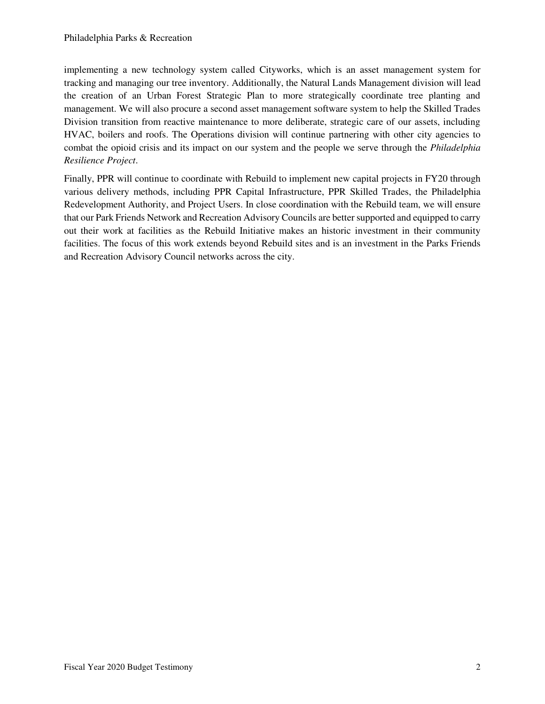implementing a new technology system called Cityworks, which is an asset management system for tracking and managing our tree inventory. Additionally, the Natural Lands Management division will lead the creation of an Urban Forest Strategic Plan to more strategically coordinate tree planting and management. We will also procure a second asset management software system to help the Skilled Trades Division transition from reactive maintenance to more deliberate, strategic care of our assets, including HVAC, boilers and roofs. The Operations division will continue partnering with other city agencies to combat the opioid crisis and its impact on our system and the people we serve through the *Philadelphia Resilience Project*.

Finally, PPR will continue to coordinate with Rebuild to implement new capital projects in FY20 through various delivery methods, including PPR Capital Infrastructure, PPR Skilled Trades, the Philadelphia Redevelopment Authority, and Project Users. In close coordination with the Rebuild team, we will ensure that our Park Friends Network and Recreation Advisory Councils are better supported and equipped to carry out their work at facilities as the Rebuild Initiative makes an historic investment in their community facilities. The focus of this work extends beyond Rebuild sites and is an investment in the Parks Friends and Recreation Advisory Council networks across the city.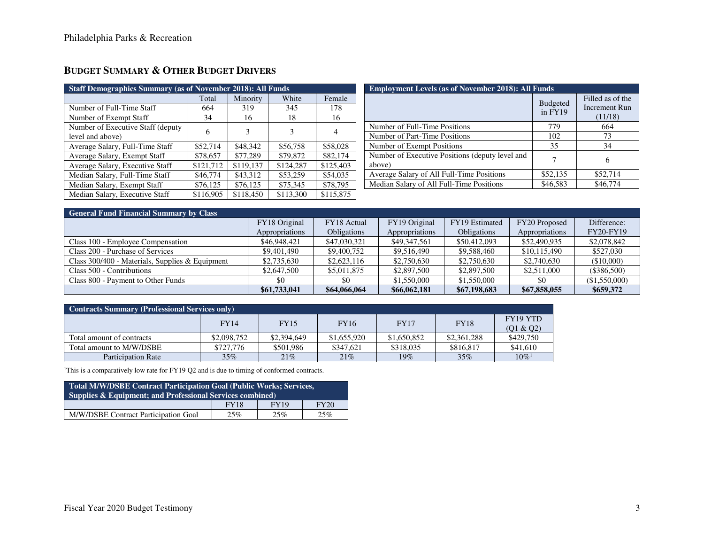# **BUDGET SUMMARY & OTHER BUDGET DRIVERS**

| <b>Staff Demographics Summary (as of November 2018): All Funds</b> |           |           |           |           |  |  |  |  |  |
|--------------------------------------------------------------------|-----------|-----------|-----------|-----------|--|--|--|--|--|
|                                                                    | Total     | Minority  | White     | Female    |  |  |  |  |  |
| Number of Full-Time Staff                                          | 664       | 319       | 345       | 178       |  |  |  |  |  |
| Number of Exempt Staff                                             | 34        | 16        | 18        | 16        |  |  |  |  |  |
| Number of Executive Staff (deputy)                                 | 6         | 3         | 3         | 4         |  |  |  |  |  |
| level and above)                                                   |           |           |           |           |  |  |  |  |  |
| Average Salary, Full-Time Staff                                    | \$52,714  | \$48,342  | \$56,758  | \$58,028  |  |  |  |  |  |
| Average Salary, Exempt Staff                                       | \$78,657  | \$77,289  | \$79,872  | \$82,174  |  |  |  |  |  |
| Average Salary, Executive Staff                                    | \$121,712 | \$119.137 | \$124,287 | \$125,403 |  |  |  |  |  |
| Median Salary, Full-Time Staff                                     | \$46,774  | \$43,312  | \$53,259  | \$54,035  |  |  |  |  |  |
| Median Salary, Exempt Staff                                        | \$76,125  | \$76,125  | \$75,345  | \$78,795  |  |  |  |  |  |
| Median Salary, Executive Staff                                     | \$116,905 | \$118,450 | \$113,300 | \$115,875 |  |  |  |  |  |

| <b>Employment Levels (as of November 2018): All Funds</b> |                            |                                              |  |  |  |  |  |
|-----------------------------------------------------------|----------------------------|----------------------------------------------|--|--|--|--|--|
|                                                           | <b>Budgeted</b><br>in FY19 | Filled as of the<br>Increment Run<br>(11/18) |  |  |  |  |  |
| Number of Full-Time Positions                             | 779                        | 664                                          |  |  |  |  |  |
| Number of Part-Time Positions                             | 102                        | 73                                           |  |  |  |  |  |
| Number of Exempt Positions                                | 35                         | 34                                           |  |  |  |  |  |
| Number of Executive Positions (deputy level and<br>above) | 7                          | 6                                            |  |  |  |  |  |
| Average Salary of All Full-Time Positions                 | \$52,135                   | \$52,714                                     |  |  |  |  |  |
| Median Salary of All Full-Time Positions                  | \$46,583                   | \$46,774                                     |  |  |  |  |  |

| <b>General Fund Financial Summary by Class</b>  |                |                    |                |                    |                |                  |
|-------------------------------------------------|----------------|--------------------|----------------|--------------------|----------------|------------------|
|                                                 | FY18 Original  | FY18 Actual        | FY19 Original  | FY19 Estimated     | FY20 Proposed  | Difference:      |
|                                                 | Appropriations | <b>Obligations</b> | Appropriations | <b>Obligations</b> | Appropriations | <b>FY20-FY19</b> |
| Class 100 - Employee Compensation               | \$46,948,421   | \$47,030,321       | \$49,347,561   | \$50,412,093       | \$52,490,935   | \$2,078,842      |
| Class 200 - Purchase of Services                | \$9,401,490    | \$9,400,752        | \$9,516,490    | \$9,588,460        | \$10,115,490   | \$527,030        |
| Class 300/400 - Materials, Supplies & Equipment | \$2,735,630    | \$2,623,116        | \$2,750,630    | \$2,750,630        | \$2,740,630    | (\$10,000)       |
| Class 500 - Contributions                       | \$2,647,500    | \$5,011,875        | \$2,897,500    | \$2,897,500        | \$2,511,000    | $(\$386,500)$    |
| Class 800 - Payment to Other Funds              | \$0            | \$0                | \$1,550,000    | \$1,550,000        | \$0            | (\$1,550,000)    |
|                                                 | \$61,733,041   | \$64,066,064       | \$66,062,181   | \$67,198,683       | \$67,858,055   | \$659,372        |

| <b>Contracts Summary (Professional Services only)</b> |             |             |             |             |             |                       |  |  |  |  |
|-------------------------------------------------------|-------------|-------------|-------------|-------------|-------------|-----------------------|--|--|--|--|
|                                                       | <b>FY14</b> | <b>FY15</b> | <b>FY16</b> | <b>FY17</b> | <b>FY18</b> | FY19 YTD<br>(Q1 & Q2) |  |  |  |  |
| Total amount of contracts                             | \$2,098,752 | \$2,394,649 | \$1,655,920 | \$1,650,852 | \$2,361,288 | \$429,750             |  |  |  |  |
| Total amount to M/W/DSBE                              | \$727,776   | \$501.986   | \$347.621   | \$318,035   | \$816.817   | \$41,610              |  |  |  |  |
| <b>Participation Rate</b>                             | 35%         | 21%         | 21%         | $19\%$      | $35\%$      | $10\%$ <sup>1</sup>   |  |  |  |  |

<sup>1</sup>This is a comparatively low rate for FY19 Q2 and is due to timing of conformed contracts.

| Total M/W/DSBE Contract Participation Goal (Public Works; Services,<br>Supplies & Equipment; and Professional Services combined) |  |  |  |  |  |  |  |  |
|----------------------------------------------------------------------------------------------------------------------------------|--|--|--|--|--|--|--|--|
| FY19<br><b>FY20</b><br><b>FY18</b>                                                                                               |  |  |  |  |  |  |  |  |
| M/W/DSBE Contract Participation Goal<br>25%<br>25%<br>25%                                                                        |  |  |  |  |  |  |  |  |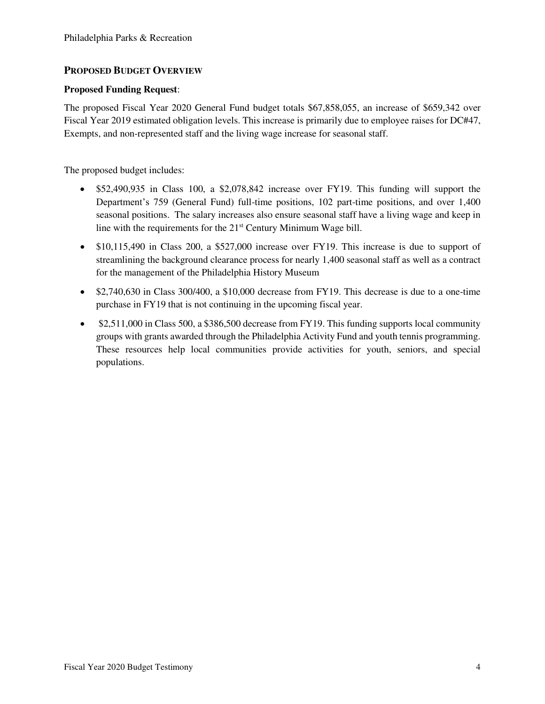# **PROPOSED BUDGET OVERVIEW**

## **Proposed Funding Request**:

The proposed Fiscal Year 2020 General Fund budget totals \$67,858,055, an increase of \$659,342 over Fiscal Year 2019 estimated obligation levels. This increase is primarily due to employee raises for DC#47, Exempts, and non-represented staff and the living wage increase for seasonal staff.

The proposed budget includes:

- \$52,490,935 in Class 100, a \$2,078,842 increase over FY19. This funding will support the Department's 759 (General Fund) full-time positions, 102 part-time positions, and over 1,400 seasonal positions. The salary increases also ensure seasonal staff have a living wage and keep in line with the requirements for the 21<sup>st</sup> Century Minimum Wage bill.
- \$10,115,490 in Class 200, a \$527,000 increase over FY19. This increase is due to support of streamlining the background clearance process for nearly 1,400 seasonal staff as well as a contract for the management of the Philadelphia History Museum
- \$2,740,630 in Class 300/400, a \$10,000 decrease from FY19. This decrease is due to a one-time purchase in FY19 that is not continuing in the upcoming fiscal year.
- \$2,511,000 in Class 500, a \$386,500 decrease from FY19. This funding supports local community groups with grants awarded through the Philadelphia Activity Fund and youth tennis programming. These resources help local communities provide activities for youth, seniors, and special populations.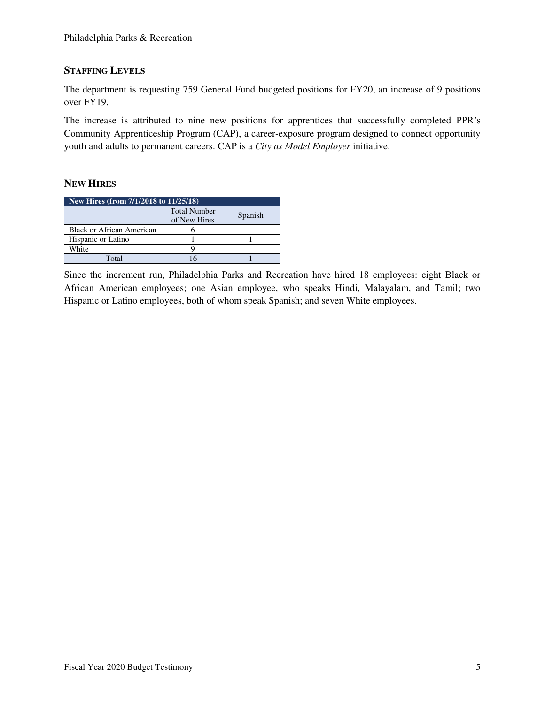## **STAFFING LEVELS**

The department is requesting 759 General Fund budgeted positions for FY20, an increase of 9 positions over FY19.

The increase is attributed to nine new positions for apprentices that successfully completed PPR's Community Apprenticeship Program (CAP), a career-exposure program designed to connect opportunity youth and adults to permanent careers. CAP is a *City as Model Employer* initiative.

# **NEW HIRES**

| New Hires (from $7/1/2018$ to $11/25/18$ ) |                                     |         |  |  |  |  |  |  |
|--------------------------------------------|-------------------------------------|---------|--|--|--|--|--|--|
|                                            | <b>Total Number</b><br>of New Hires | Spanish |  |  |  |  |  |  |
| Black or African American                  |                                     |         |  |  |  |  |  |  |
| Hispanic or Latino                         |                                     |         |  |  |  |  |  |  |
| White                                      |                                     |         |  |  |  |  |  |  |
| Total                                      |                                     |         |  |  |  |  |  |  |

Since the increment run, Philadelphia Parks and Recreation have hired 18 employees: eight Black or African American employees; one Asian employee, who speaks Hindi, Malayalam, and Tamil; two Hispanic or Latino employees, both of whom speak Spanish; and seven White employees.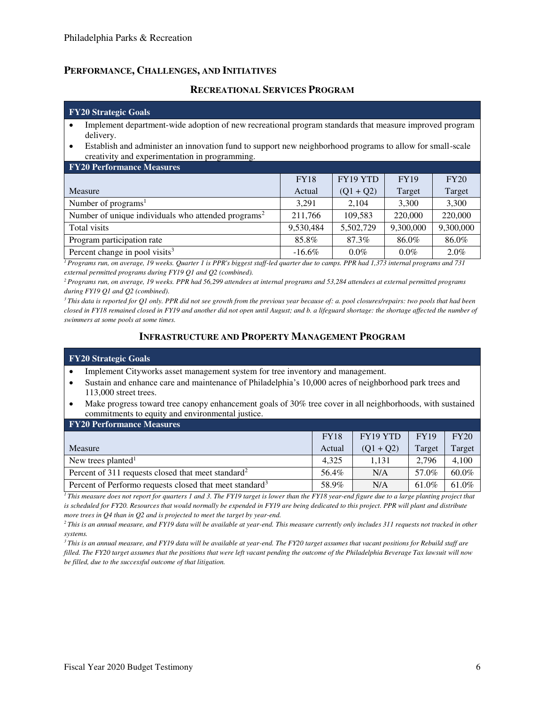## **PERFORMANCE, CHALLENGES, AND INITIATIVES**

### **RECREATIONAL SERVICES PROGRAM**

#### **FY20 Strategic Goals**

- Implement department-wide adoption of new recreational program standards that measure improved program delivery.
- Establish and administer an innovation fund to support new neighborhood programs to allow for small-scale creativity and experimentation in programming.

| <b>FY20 Performance Measures</b>                                |             |             |             |           |  |  |  |  |  |
|-----------------------------------------------------------------|-------------|-------------|-------------|-----------|--|--|--|--|--|
|                                                                 | <b>FY18</b> | FY19 YTD    | <b>FY19</b> | FY20      |  |  |  |  |  |
| Measure                                                         | Actual      | $(Q1 + Q2)$ | Target      | Target    |  |  |  |  |  |
| Number of $programs1$                                           | 3.291       | 2.104       | 3,300       | 3,300     |  |  |  |  |  |
| Number of unique individuals who attended programs <sup>2</sup> | 211,766     | 109,583     | 220,000     | 220,000   |  |  |  |  |  |
| Total visits                                                    | 9,530,484   | 5,502,729   | 9,300,000   | 9,300,000 |  |  |  |  |  |
| Program participation rate                                      | 85.8%       | 87.3%       | 86.0%       | 86.0%     |  |  |  |  |  |
| Percent change in pool visits <sup>3</sup>                      | $-16.6\%$   | $0.0\%$     | $0.0\%$     | $2.0\%$   |  |  |  |  |  |

*<sup>1</sup>Programs run, on average, 19 weeks. Quarter 1 is PPR's biggest staff-led quarter due to camps. PPR had 1,373 internal programs and 731 external permitted programs during FY19 Q1 and Q2 (combined).* 

*<sup>2</sup>Programs run, on average, 19 weeks. PPR had 56,299 attendees at internal programs and 53,284 attendees at external permitted programs during FY19 Q1 and Q2 (combined).* 

<sup>3</sup>*This data is reported for Q1 only. PPR did not see growth from the previous year because of: a. pool closures/repairs: two pools that had been closed in FY18 remained closed in FY19 and another did not open until August; and b. a lifeguard shortage: the shortage affected the number of swimmers at some pools at some times.*

## **INFRASTRUCTURE AND PROPERTY MANAGEMENT PROGRAM**

#### **FY20 Strategic Goals**

- Implement Cityworks asset management system for tree inventory and management.
- Sustain and enhance care and maintenance of Philadelphia's 10,000 acres of neighborhood park trees and 113,000 street trees.
- Make progress toward tree canopy enhancement goals of 30% tree cover in all neighborhoods, with sustained commitments to equity and environmental justice.

| <b>FY20 Performance Measures</b>                                    |             |             |             |        |  |  |  |  |  |
|---------------------------------------------------------------------|-------------|-------------|-------------|--------|--|--|--|--|--|
|                                                                     | <b>FY18</b> | FY19 YTD    | <b>FY19</b> | FY20   |  |  |  |  |  |
| Measure                                                             | Actual      | $(01 + 02)$ | Target      | Target |  |  |  |  |  |
| New trees planted <sup>1</sup>                                      | 4.325       | 1.131       | 2,796       | 4,100  |  |  |  |  |  |
| Percent of 311 requests closed that meet standard <sup>2</sup>      | 56.4%       | N/A         | 57.0%       | 60.0%  |  |  |  |  |  |
| Percent of Performo requests closed that meet standard <sup>3</sup> | 58.9%       | N/A         | 61.0%       | 61.0%  |  |  |  |  |  |

<sup>1</sup>*This measure does not report for quarters 1 and 3. The FY19 target is lower than the FY18 year-end figure due to a large planting project that* is scheduled for FY20. Resources that would normally be expended in FY19 are being dedicated to this project. PPR will plant and distribute *more trees in Q4 than in Q2 and is projected to meet the target by year-end.* 

*<sup>2</sup>This is an annual measure, and FY19 data will be available at year-end. This measure currently only includes 311 requests not tracked in other systems.* 

*<sup>3</sup>This is an annual measure, and FY19 data will be available at year-end. The FY20 target assumes that vacant positions for Rebuild staff are filled. The FY20 target assumes that the positions that were left vacant pending the outcome of the Philadelphia Beverage Tax lawsuit will now be filled, due to the successful outcome of that litigation.*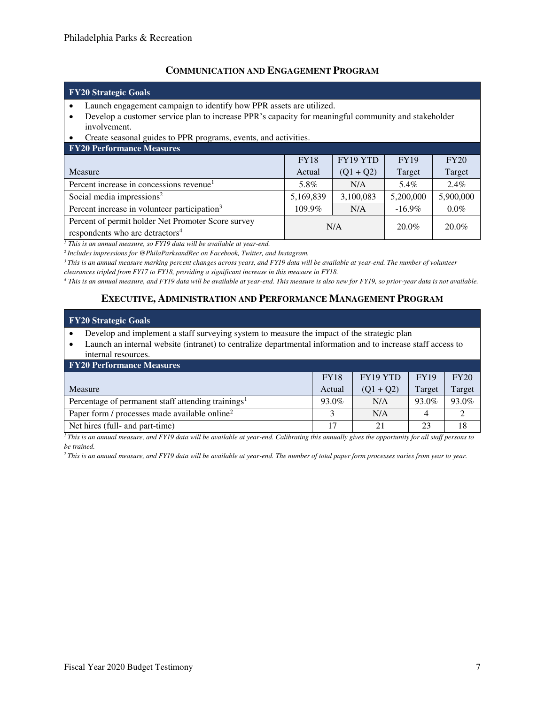## **COMMUNICATION AND ENGAGEMENT PROGRAM**

### **FY20 Strategic Goals**

- Launch engagement campaign to identify how PPR assets are utilized.
- Develop a customer service plan to increase PPR's capacity for meaningful community and stakeholder involvement.

#### • Create seasonal guides to PPR programs, events, and activities.

| <b>FY20 Performance Measures</b>                                                                  |                 |             |             |           |
|---------------------------------------------------------------------------------------------------|-----------------|-------------|-------------|-----------|
|                                                                                                   | <b>FY18</b>     | FY19 YTD    | <b>FY19</b> | FY20      |
| Measure                                                                                           | Actual          | $(Q1 + Q2)$ | Target      | Target    |
| Percent increase in concessions revenue <sup>1</sup>                                              | 5.8%            | N/A         | 5.4%        | $2.4\%$   |
| Social media impressions <sup>2</sup>                                                             | 5,169,839       | 3,100,083   | 5,200,000   | 5,900,000 |
| Percent increase in volunteer participation <sup>3</sup>                                          | 109.9%          | N/A         | $-16.9\%$   | $0.0\%$   |
| Percent of permit holder Net Promoter Score survey<br>respondents who are detractors <sup>4</sup> | $20.0\%$<br>N/A |             |             | $20.0\%$  |
|                                                                                                   |                 |             |             |           |

<sup>1</sup> This is an annual measure, so FY19 data will be available at year-end.

*<sup>2</sup>Includes impressions for @PhilaParksandRec on Facebook, Twitter, and Instagram.* 

<sup>3</sup>*This is an annual measure marking percent changes across years, and FY19 data will be available at year-end. The number of volunteer* 

*clearances tripled from FY17 to FY18, providing a significant increase in this measure in FY18.* 

*4 This is an annual measure, and FY19 data will be available at year-end. This measure is also new for FY19, so prior-year data is not available.* 

## **EXECUTIVE, ADMINISTRATION AND PERFORMANCE MANAGEMENT PROGRAM**

# **FY20 Strategic Goals**  • Develop and implement a staff surveying system to measure the impact of the strategic plan

• Launch an internal website (intranet) to centralize departmental information and to increase staff access to internal resources.

| <b>FY20 Performance Measures</b>                               |             |             |             |        |  |  |  |  |
|----------------------------------------------------------------|-------------|-------------|-------------|--------|--|--|--|--|
|                                                                | <b>FY18</b> | FY19 YTD    | <b>FY19</b> | FY20   |  |  |  |  |
| Measure                                                        | Actual      | $(01 + 02)$ | Target      | Target |  |  |  |  |
| Percentage of permanent staff attending trainings <sup>1</sup> | 93.0%       | N/A         | 93.0%       | 93.0%  |  |  |  |  |
| Paper form / processes made available online <sup>2</sup>      |             | N/A         |             |        |  |  |  |  |
| Net hires (full- and part-time)                                | 17          | 21          | 23          | 18     |  |  |  |  |

 $\overline{I}$ *This is an annual measure, and FY19 data will be available at year-end. Calibrating this annually gives the opportunity for all staff persons to be trained.* 

*2 This is an annual measure, and FY19 data will be available at year-end. The number of total paper form processes varies from year to year.*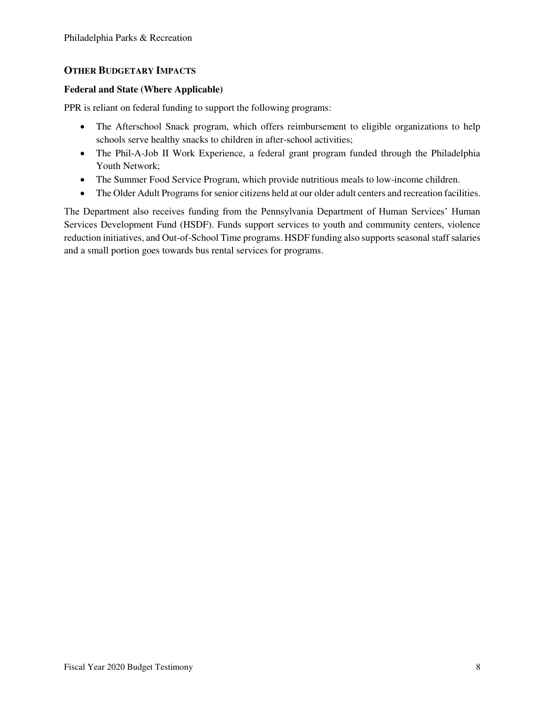# **OTHER BUDGETARY IMPACTS**

## **Federal and State (Where Applicable)**

PPR is reliant on federal funding to support the following programs:

- The Afterschool Snack program, which offers reimbursement to eligible organizations to help schools serve healthy snacks to children in after-school activities;
- The Phil-A-Job II Work Experience, a federal grant program funded through the Philadelphia Youth Network;
- The Summer Food Service Program, which provide nutritious meals to low-income children.
- The Older Adult Programs for senior citizens held at our older adult centers and recreation facilities.

The Department also receives funding from the Pennsylvania Department of Human Services' Human Services Development Fund (HSDF). Funds support services to youth and community centers, violence reduction initiatives, and Out-of-School Time programs. HSDF funding also supports seasonal staff salaries and a small portion goes towards bus rental services for programs.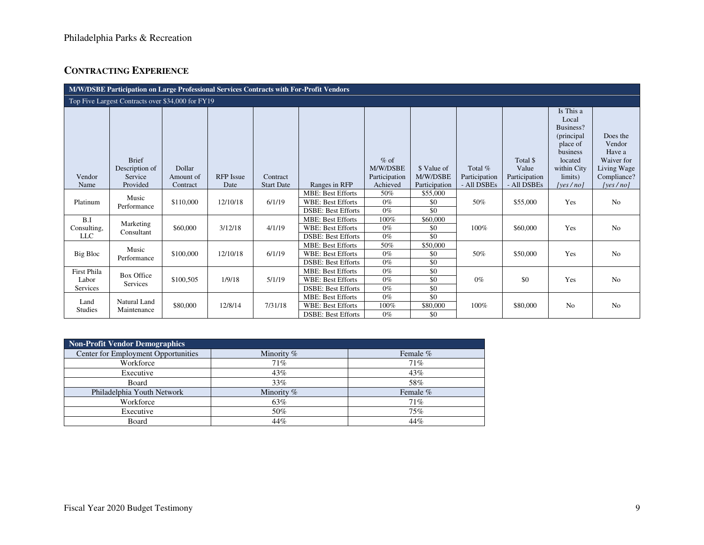# **CONTRACTING EXPERIENCE**

| M/W/DSBE Participation on Large Professional Services Contracts with For-Profit Vendors |                                                   |           |                  |                   |                                                                                   |                         |                         |               |                   |                                                                                   |                                            |
|-----------------------------------------------------------------------------------------|---------------------------------------------------|-----------|------------------|-------------------|-----------------------------------------------------------------------------------|-------------------------|-------------------------|---------------|-------------------|-----------------------------------------------------------------------------------|--------------------------------------------|
|                                                                                         | Top Five Largest Contracts over \$34,000 for FY19 |           |                  |                   |                                                                                   |                         |                         |               |                   |                                                                                   |                                            |
|                                                                                         | <b>Brief</b>                                      | Dollar    |                  |                   |                                                                                   | $%$ of<br>M/W/DSBE      |                         | Total %       | Total \$<br>Value | Is This a<br>Local<br>Business?<br>(principal)<br>place of<br>business<br>located | Does the<br>Vendor<br>Have a<br>Waiver for |
| Vendor                                                                                  | Description of<br>Service                         | Amount of | <b>RFP</b> Issue | Contract          |                                                                                   | Participation           | \$ Value of<br>M/W/DSBE | Participation | Participation     | within City<br>limits)                                                            | Living Wage<br>Compliance?                 |
| Name                                                                                    | Provided                                          | Contract  | Date             | <b>Start Date</b> | Ranges in RFP                                                                     | Achieved                | Participation           | - All DSBEs   | - All DSBEs       | [yes $/no$ ]                                                                      | [yes $/$ no]                               |
| Platinum                                                                                | Music<br>Performance                              | \$110,000 | 12/10/18         | 6/1/19            | <b>MBE: Best Efforts</b><br><b>WBE: Best Efforts</b><br><b>DSBE: Best Efforts</b> | 50%<br>$0\%$<br>$0\%$   | \$55,000<br>\$0<br>\$0  | 50%           | \$55,000          | Yes                                                                               | N <sub>o</sub>                             |
| B.I<br>Consulting,<br><b>LLC</b>                                                        | Marketing<br>Consultant                           | \$60,000  | 3/12/18          | 4/1/19            | <b>MBE: Best Efforts</b><br><b>WBE: Best Efforts</b><br><b>DSBE: Best Efforts</b> | 100%<br>$0\%$<br>$0\%$  | \$60,000<br>\$0<br>\$0  | 100%          | \$60,000          | Yes                                                                               | No                                         |
| Big Bloc                                                                                | Music<br>Performance                              | \$100,000 | 12/10/18         | 6/1/19            | <b>MBE: Best Efforts</b><br><b>WBE: Best Efforts</b><br><b>DSBE: Best Efforts</b> | 50%<br>$0\%$<br>$0\%$   | \$50,000<br>\$0<br>\$0  | 50%           | \$50,000          | Yes                                                                               | No                                         |
| First Phila<br>Labor<br>Services                                                        | <b>Box Office</b><br>Services                     | \$100,505 | 1/9/18           | 5/1/19            | <b>MBE: Best Efforts</b><br><b>WBE: Best Efforts</b><br><b>DSBE: Best Efforts</b> | $0\%$<br>$0\%$<br>$0\%$ | \$0<br>\$0<br>\$0       | $0\%$         | \$0               | Yes                                                                               | No                                         |
| Land<br><b>Studies</b>                                                                  | Natural Land<br>Maintenance                       | \$80,000  | 12/8/14          | 7/31/18           | <b>MBE: Best Efforts</b><br><b>WBE: Best Efforts</b><br><b>DSBE: Best Efforts</b> | $0\%$<br>100%<br>$0\%$  | \$0<br>\$80,000<br>\$0  | 100%          | \$80,000          | No                                                                                | No                                         |

| <b>Non-Profit Vendor Demographics</b> |              |          |  |  |  |  |  |  |
|---------------------------------------|--------------|----------|--|--|--|--|--|--|
| Center for Employment Opportunities   | Minority %   | Female % |  |  |  |  |  |  |
| Workforce                             | 71%          | 71%      |  |  |  |  |  |  |
| Executive                             | 43%          | 43%      |  |  |  |  |  |  |
| Board                                 | 33%          | 58%      |  |  |  |  |  |  |
| Philadelphia Youth Network            | Minority $%$ | Female % |  |  |  |  |  |  |
| Workforce                             | 63%          | 71%      |  |  |  |  |  |  |
| Executive                             | 50%          | 75%      |  |  |  |  |  |  |
| Board                                 | 44%          | 44%      |  |  |  |  |  |  |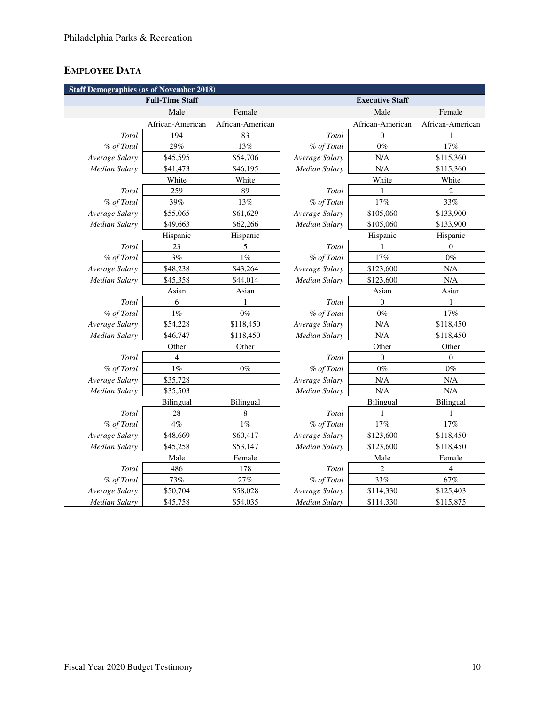# **EMPLOYEE DATA**

| <b>Staff Demographics (as of November 2018)</b> |                  |                  |                        |                  |                  |
|-------------------------------------------------|------------------|------------------|------------------------|------------------|------------------|
| <b>Full-Time Staff</b>                          |                  |                  | <b>Executive Staff</b> |                  |                  |
|                                                 | Male             | Female           |                        | Male             | Female           |
|                                                 | African-American | African-American |                        | African-American | African-American |
| Total                                           | 194              | 83               | Total                  | $\mathbf{0}$     |                  |
| % of Total                                      | 29%              | 13%              | % of Total             | $0\%$            | 17%              |
| Average Salary                                  | \$45,595         | \$54,706         | Average Salary         | N/A              | \$115,360        |
| Median Salary                                   | \$41,473         | \$46,195         | Median Salary          | N/A              | \$115,360        |
|                                                 | White            | White            |                        | White            | White            |
| Total                                           | 259              | 89               | Total                  | 1                | $\overline{2}$   |
| % of Total                                      | 39%              | 13%              | % of Total             | 17%              | 33%              |
| Average Salary                                  | \$55,065         | \$61,629         | Average Salary         | \$105,060        | \$133,900        |
| <b>Median Salary</b>                            | \$49,663         | \$62,266         | Median Salary          | \$105,060        | \$133,900        |
|                                                 | Hispanic         | Hispanic         |                        | Hispanic         | Hispanic         |
| Total                                           | 23               | 5                | Total                  | 1                | $\theta$         |
| % of Total                                      | 3%               | $1\%$            | % of Total             | 17%              | $0\%$            |
| Average Salary                                  | \$48,238         | \$43,264         | Average Salary         | \$123,600        | N/A              |
| Median Salary                                   | \$45,358         | \$44,014         | <b>Median Salary</b>   | \$123,600        | N/A              |
|                                                 | Asian            | Asian            |                        | Asian            | Asian            |
| Total                                           | 6                |                  | Total                  | $\boldsymbol{0}$ | 1                |
| % of Total                                      | $1\%$            | $0\%$            | % of Total             | $0\%$            | 17%              |
| Average Salary                                  | \$54,228         | \$118,450        | Average Salary         | N/A              | \$118,450        |
| Median Salary                                   | \$46,747         | \$118,450        | Median Salary          | N/A              | \$118,450        |
|                                                 | Other            | Other            |                        | Other            | Other            |
| Total                                           | 4                |                  | Total                  | $\overline{0}$   | $\theta$         |
| % of Total                                      | 1%               | $0\%$            | % of Total             | $0\%$            | $0\%$            |
| Average Salary                                  | \$35,728         |                  | Average Salary         | N/A              | N/A              |
| Median Salary                                   | \$35,503         |                  | <b>Median Salary</b>   | N/A              | N/A              |
|                                                 | <b>Bilingual</b> | Bilingual        |                        | Bilingual        | Bilingual        |
| Total                                           | 28               | 8                | Total                  | 1                | 1                |
| % of Total                                      | $4\%$            | $1\%$            | % of Total             | $17\%$           | 17%              |
| Average Salary                                  | \$48,669         | \$60,417         | Average Salary         | \$123,600        | \$118,450        |
| Median Salary                                   | \$45,258         | \$53,147         | Median Salary          | \$123,600        | \$118,450        |
| Male<br>Female                                  |                  |                  | Male                   | Female           |                  |
| Total                                           | 486              | 178              | Total                  | $\overline{c}$   | $\overline{4}$   |
| % of Total                                      | 73%              | 27%              | % of Total             | 33%              | 67%              |
| Average Salary                                  | \$50,704         | \$58,028         | Average Salary         | \$114,330        | \$125,403        |
| <b>Median Salary</b>                            | \$45,758         | \$54,035         | <b>Median Salary</b>   | \$114,330        | \$115,875        |